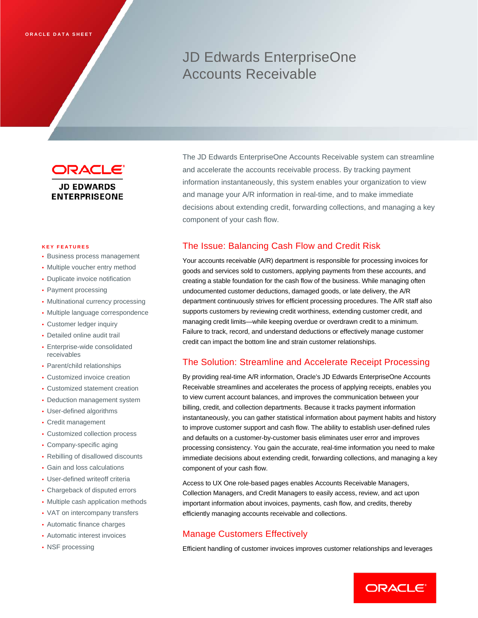# JD Edwards EnterpriseOne Accounts Receivable

ORACLE

**JD EDWARDS ENTERPRISEONE** 

#### **KEY FEATURES**

- Business process management
- Multiple voucher entry method
- Duplicate invoice notification
- Payment processing
- Multinational currency processing
- Multiple language correspondence
- Customer ledger inquiry
- Detailed online audit trail
- Enterprise-wide consolidated receivables
- Parent/child relationships
- Customized invoice creation
- Customized statement creation
- Deduction management system
- User-defined algorithms
- Credit management
- Customized collection process
- Company-specific aging
- Rebilling of disallowed discounts
- Gain and loss calculations
- User-defined writeoff criteria
- Chargeback of disputed errors
- Multiple cash application methods
- VAT on intercompany transfers
- Automatic finance charges
- Automatic interest invoices
- NSF processing

The JD Edwards EnterpriseOne Accounts Receivable system can streamline and accelerate the accounts receivable process. By tracking payment information instantaneously, this system enables your organization to view and manage your A/R information in real-time, and to make immediate decisions about extending credit, forwarding collections, and managing a key component of your cash flow.

#### The Issue: Balancing Cash Flow and Credit Risk

Your accounts receivable (A/R) department is responsible for processing invoices for goods and services sold to customers, applying payments from these accounts, and creating a stable foundation for the cash flow of the business. While managing often undocumented customer deductions, damaged goods, or late delivery, the A/R department continuously strives for efficient processing procedures. The A/R staff also supports customers by reviewing credit worthiness, extending customer credit, and managing credit limits—while keeping overdue or overdrawn credit to a minimum. Failure to track, record, and understand deductions or effectively manage customer credit can impact the bottom line and strain customer relationships.

#### The Solution: Streamline and Accelerate Receipt Processing

By providing real-time A/R information, Oracle's JD Edwards EnterpriseOne Accounts Receivable streamlines and accelerates the process of applying receipts, enables you to view current account balances, and improves the communication between your billing, credit, and collection departments. Because it tracks payment information instantaneously, you can gather statistical information about payment habits and history to improve customer support and cash flow. The ability to establish user-defined rules and defaults on a customer-by-customer basis eliminates user error and improves processing consistency. You gain the accurate, real-time information you need to make immediate decisions about extending credit, forwarding collections, and managing a key component of your cash flow.

Access to UX One role-based pages enables Accounts Receivable Managers, Collection Managers, and Credit Managers to easily access, review, and act upon important information about invoices, payments, cash flow, and credits, thereby efficiently managing accounts receivable and collections.

## Manage Customers Effectively

Efficient handling of customer invoices improves customer relationships and leverages

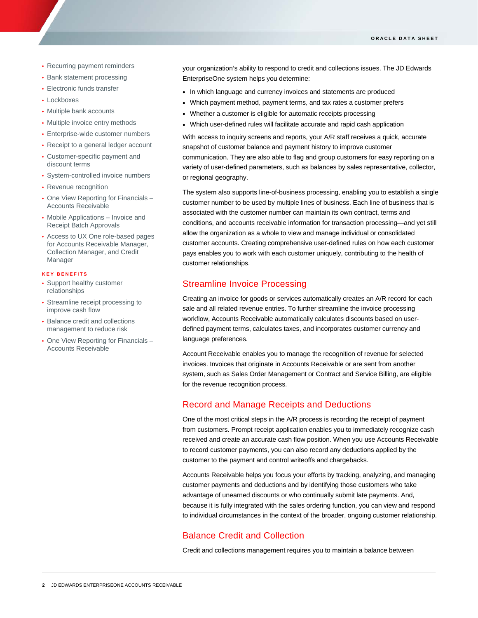- Recurring payment reminders
- Bank statement processing
- Electronic funds transfer
- Lockboxes
- Multiple bank accounts
- Multiple invoice entry methods
- Enterprise-wide customer numbers
- Receipt to a general ledger account
- Customer-specific payment and discount terms
- System-controlled invoice numbers
- Revenue recognition
- One View Reporting for Financials Accounts Receivable
- Mobile Applications Invoice and Receipt Batch Approvals
- Access to UX One role-based pages for Accounts Receivable Manager, Collection Manager, and Credit Manager

#### **KEY BENEFITS**

- Support healthy customer relationships
- Streamline receipt processing to improve cash flow
- Balance credit and collections management to reduce risk
- One View Reporting for Financials -Accounts Receivable

your organization's ability to respond to credit and collections issues. The JD Edwards EnterpriseOne system helps you determine:

- In which language and currency invoices and statements are produced
- Which payment method, payment terms, and tax rates a customer prefers
- Whether a customer is eligible for automatic receipts processing
- Which user-defined rules will facilitate accurate and rapid cash application

With access to inquiry screens and reports, your A/R staff receives a quick, accurate snapshot of customer balance and payment history to improve customer communication. They are also able to flag and group customers for easy reporting on a variety of user-defined parameters, such as balances by sales representative, collector, or regional geography.

The system also supports line-of-business processing, enabling you to establish a single customer number to be used by multiple lines of business. Each line of business that is associated with the customer number can maintain its own contract, terms and conditions, and accounts receivable information for transaction processing—and yet still allow the organization as a whole to view and manage individual or consolidated customer accounts. Creating comprehensive user-defined rules on how each customer pays enables you to work with each customer uniquely, contributing to the health of customer relationships.

### Streamline Invoice Processing

Creating an invoice for goods or services automatically creates an A/R record for each sale and all related revenue entries. To further streamline the invoice processing workflow, Accounts Receivable automatically calculates discounts based on userdefined payment terms, calculates taxes, and incorporates customer currency and language preferences.

Account Receivable enables you to manage the recognition of revenue for selected invoices. Invoices that originate in Accounts Receivable or are sent from another system, such as Sales Order Management or Contract and Service Billing, are eligible for the revenue recognition process.

## Record and Manage Receipts and Deductions

One of the most critical steps in the A/R process is recording the receipt of payment from customers. Prompt receipt application enables you to immediately recognize cash received and create an accurate cash flow position. When you use Accounts Receivable to record customer payments, you can also record any deductions applied by the customer to the payment and control writeoffs and chargebacks.

Accounts Receivable helps you focus your efforts by tracking, analyzing, and managing customer payments and deductions and by identifying those customers who take advantage of unearned discounts or who continually submit late payments. And, because it is fully integrated with the sales ordering function, you can view and respond to individual circumstances in the context of the broader, ongoing customer relationship.

# Balance Credit and Collection

Credit and collections management requires you to maintain a balance between